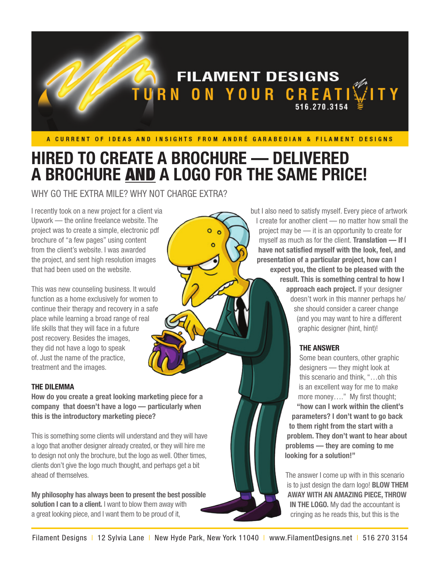

ö

ō

# **HIRED TO CREATE A BROCHURE — DELIVERED A BROCHURE** AND **A LOGO FOR THE SAME PRICE!**

WHY GO THE EXTRA MILE? WHY NOT CHARGE EXTRA?

I recently took on a new project for a client via Upwork — the online freelance website. The project was to create a simple, electronic pdf brochure of "a few pages" using content from the client's website. I was awarded the project, and sent high resolution images that had been used on the website.

This was new counseling business. It would function as a home exclusively for women to continue their therapy and recovery in a safe place while learning a broad range of real life skills that they will face in a future post recovery. Besides the images, they did not have a logo to speak of. Just the name of the practice, treatment and the images.

### **THE DILEMMA**

**How do you create a great looking marketing piece for a company that doesn't have a logo — particularly when this is the introductory marketing piece?**

This is something some clients will understand and they will have a logo that another designer already created, or they will hire me to design not only the brochure, but the logo as well. Other times, clients don't give the logo much thought, and perhaps get a bit ahead of themselves.

**My philosophy has always been to present the best possible solution I can to a client.** I want to blow them away with a great looking piece, and I want them to be proud of it,

but I also need to satisfy myself. Every piece of artwork I create for another client — no matter how small the project may be — it is an opportunity to create for myself as much as for the client. **Translation — If I have not satisfied myself with the look, feel, and presentation of a particular project, how can I expect you, the client to be pleased with the result. This is something central to how I approach each project.** If your designer doesn't work in this manner perhaps he/ she should consider a career change (and you may want to hire a different graphic designer (hint, hint)!

## **THE ANSWER**

Some bean counters, other graphic designers — they might look at this scenario and think, "…oh this is an excellent way for me to make more money…." My first thought; **"how can I work within the client's parameters? I don't want to go back to them right from the start with a problem. They don't want to hear about problems — they are coming to me looking for a solution!"**

The answer I come up with in this scenario is to just design the darn logo! **BLOW THEM AWAY WITH AN AMAZING PIECE, THROW IN THE LOGO.** My dad the accountant is cringing as he reads this, but this is the